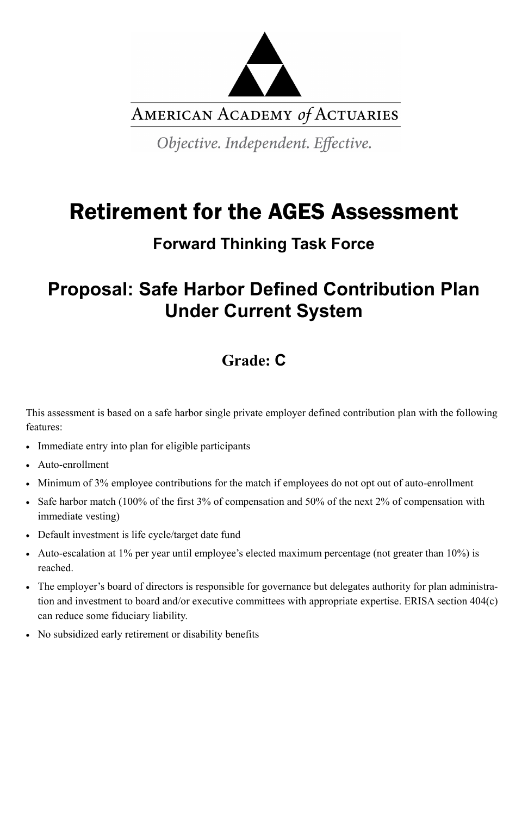

AMERICAN ACADEMY of ACTUARIES

Objective. Independent. Effective.

# Retirement for the AGES Assessment

## **Forward Thinking Task Force**

## **Proposal: Safe Harbor Defined Contribution Plan Under Current System**

## **Grade: C**

This assessment is based on a safe harbor single private employer defined contribution plan with the following features:

- Immediate entry into plan for eligible participants
- Auto-enrollment
- Minimum of 3% employee contributions for the match if employees do not opt out of auto-enrollment
- Safe harbor match (100% of the first 3% of compensation and 50% of the next 2% of compensation with immediate vesting)
- Default investment is life cycle/target date fund
- Auto-escalation at 1% per year until employee's elected maximum percentage (not greater than 10%) is reached.
- The employer's board of directors is responsible for governance but delegates authority for plan administra-

tion and investment to board and/or executive committees with appropriate expertise. ERISA section 404(c) can reduce some fiduciary liability.

No subsidized early retirement or disability benefits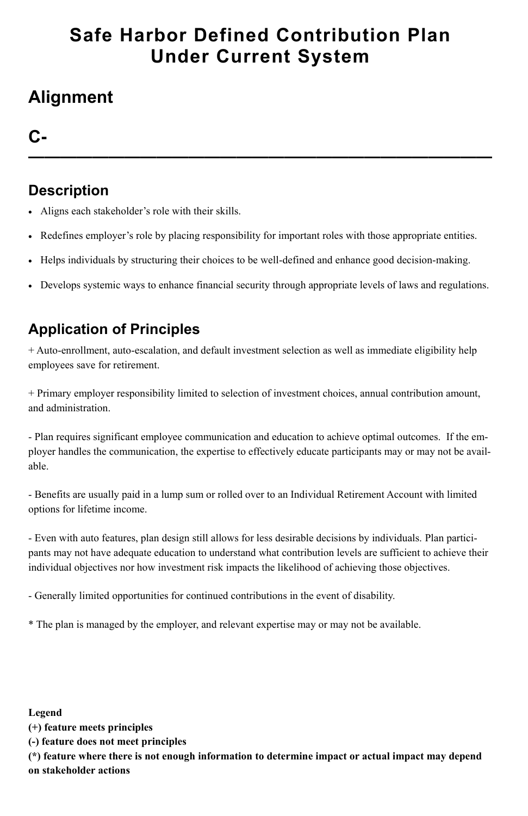## **Safe Harbor Defined Contribution Plan Under Current System**

## **Alignment**

### **C-**

**—————————————————————————————**

#### **Description**

- Aligns each stakeholder's role with their skills.
- Redefines employer's role by placing responsibility for important roles with those appropriate entities.
- Helps individuals by structuring their choices to be well-defined and enhance good decision-making.
- Develops systemic ways to enhance financial security through appropriate levels of laws and regulations.

## **Application of Principles**

+ Auto-enrollment, auto-escalation, and default investment selection as well as immediate eligibility help employees save for retirement.

+ Primary employer responsibility limited to selection of investment choices, annual contribution amount, and administration.

- Plan requires significant employee communication and education to achieve optimal outcomes. If the employer handles the communication, the expertise to effectively educate participants may or may not be available.

- Benefits are usually paid in a lump sum or rolled over to an Individual Retirement Account with limited options for lifetime income.

- Even with auto features, plan design still allows for less desirable decisions by individuals. Plan participants may not have adequate education to understand what contribution levels are sufficient to achieve their individual objectives nor how investment risk impacts the likelihood of achieving those objectives.

- Generally limited opportunities for continued contributions in the event of disability.

\* The plan is managed by the employer, and relevant expertise may or may not be available.

#### **Legend**

**(+) feature meets principles**

**(-) feature does not meet principles**

**(\*) feature where there is not enough information to determine impact or actual impact may depend on stakeholder actions**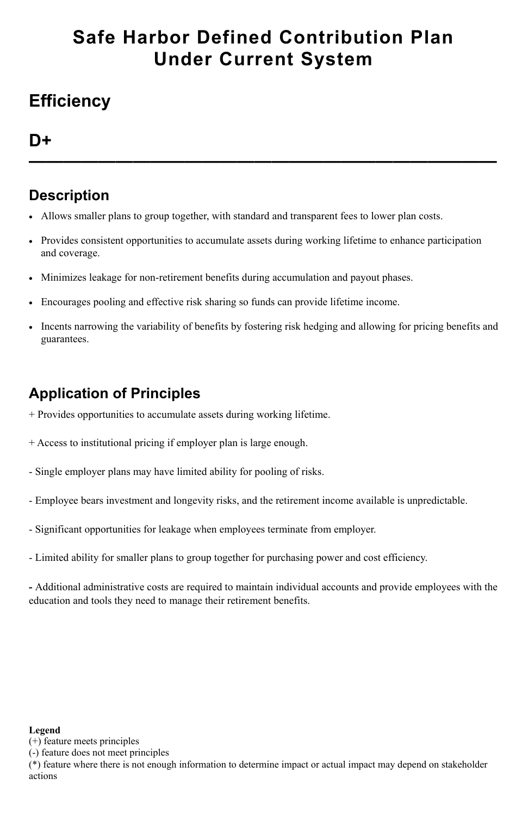## **Safe Harbor Defined Contribution Plan Under Current System**

## **Efficiency**

**D+**

**———————————————————————————**

#### **Description**

- Allows smaller plans to group together, with standard and transparent fees to lower plan costs.
- Provides consistent opportunities to accumulate assets during working lifetime to enhance participation and coverage.
- Minimizes leakage for non-retirement benefits during accumulation and payout phases.
- Encourages pooling and effective risk sharing so funds can provide lifetime income.
- Incents narrowing the variability of benefits by fostering risk hedging and allowing for pricing benefits and guarantees.

## **Application of Principles**

- + Provides opportunities to accumulate assets during working lifetime.
- + Access to institutional pricing if employer plan is large enough.
- Single employer plans may have limited ability for pooling of risks.
- Employee bears investment and longevity risks, and the retirement income available is unpredictable.
- Significant opportunities for leakage when employees terminate from employer.
- Limited ability for smaller plans to group together for purchasing power and cost efficiency.

**-** Additional administrative costs are required to maintain individual accounts and provide employees with the education and tools they need to manage their retirement benefits.

#### **Legend**

(+) feature meets principles

(-) feature does not meet principles

(\*) feature where there is not enough information to determine impact or actual impact may depend on stakeholder actions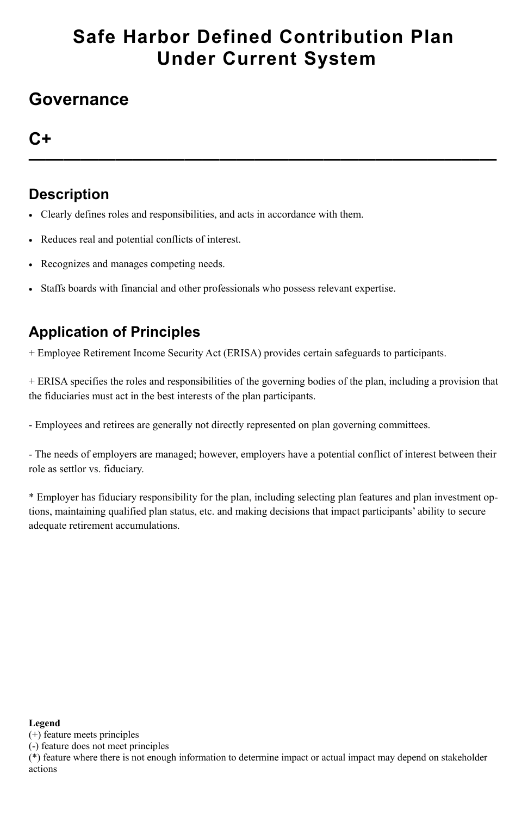## **Safe Harbor Defined Contribution Plan Under Current System**

## **Governance**

### **C+**

**———————————————————————————**

### **Description**

- Clearly defines roles and responsibilities, and acts in accordance with them.
- Reduces real and potential conflicts of interest.
- Recognizes and manages competing needs.
- Staffs boards with financial and other professionals who possess relevant expertise.

## **Application of Principles**

+ Employee Retirement Income Security Act (ERISA) provides certain safeguards to participants.

+ ERISA specifies the roles and responsibilities of the governing bodies of the plan, including a provision that the fiduciaries must act in the best interests of the plan participants.

- Employees and retirees are generally not directly represented on plan governing committees.

- The needs of employers are managed; however, employers have a potential conflict of interest between their role as settlor vs. fiduciary.

\* Employer has fiduciary responsibility for the plan, including selecting plan features and plan investment options, maintaining qualified plan status, etc. and making decisions that impact participants' ability to secure adequate retirement accumulations.

#### **Legend**

(+) feature meets principles

(-) feature does not meet principles

(\*) feature where there is not enough information to determine impact or actual impact may depend on stakeholder actions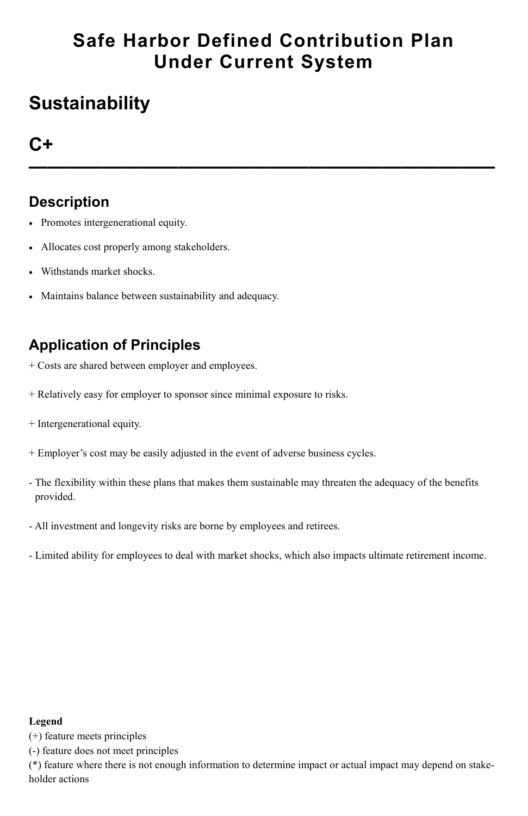## **Safe Harbor Defined Contribution Plan Under Current System**

## **Sustainability**

## **C+**

**—————————————————————————**

#### **Description**

- Promotes intergenerational equity.
- Allocates cost properly among stakeholders.
- Withstands market shocks.
- Maintains balance between sustainability and adequacy.

## **Application of Principles**

- + Costs are shared between employer and employees.
- + Relatively easy for employer to sponsor since minimal exposure to risks.
- + Intergenerational equity.
- + Employer's cost may be easily adjusted in the event of adverse business cycles.
- The flexibility within these plans that makes them sustainable may threaten the adequacy of the benefits provided.
- All investment and longevity risks are borne by employees and retirees.
- Limited ability for employees to deal with market shocks, which also impacts ultimate retirement income.

#### **Legend**

(+) feature meets principles

(-) feature does not meet principles

(\*) feature where there is not enough information to determine impact or actual impact may depend on stakeholder actions